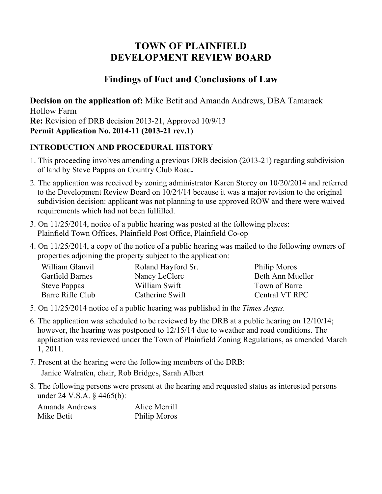# **TOWN OF PLAINFIELD DEVELOPMENT REVIEW BOARD**

## **Findings of Fact and Conclusions of Law**

**Decision on the application of:** Mike Betit and Amanda Andrews, DBA Tamarack Hollow Farm **Re:** Revision of DRB decision 2013-21, Approved 10/9/13 **Permit Application No. 2014-11 (2013-21 rev.1)**

#### **INTRODUCTION AND PROCEDURAL HISTORY**

- 1. This proceeding involves amending a previous DRB decision (2013-21) regarding subdivision of land by Steve Pappas on Country Club Road**.**
- 2. The application was received by zoning administrator Karen Storey on 10/20/2014 and referred to the Development Review Board on 10/24/14 because it was a major revision to the original subdivision decision: applicant was not planning to use approved ROW and there were waived requirements which had not been fulfilled.
- 3. On 11/25/2014, notice of a public hearing was posted at the following places: Plainfield Town Offices, Plainfield Post Office, Plainfield Co-op
- 4. On 11/25/2014, a copy of the notice of a public hearing was mailed to the following owners of properties adjoining the property subject to the application:

| William Glanvil     | Roland Hayford Sr. | Philip Moros     |
|---------------------|--------------------|------------------|
| Garfield Barnes     | Nancy LeClerc      | Beth Ann Mueller |
| <b>Steve Pappas</b> | William Swift      | Town of Barre    |
| Barre Rifle Club    | Catherine Swift    | Central VT RPC   |

- 5. On 11/25/2014 notice of a public hearing was published in the *Times Argus.*
- 6. The application was scheduled to be reviewed by the DRB at a public hearing on 12/10/14; however, the hearing was postponed to 12/15/14 due to weather and road conditions. The application was reviewed under the Town of Plainfield Zoning Regulations, as amended March 1, 2011.
- 7. Present at the hearing were the following members of the DRB: Janice Walrafen, chair, Rob Bridges, Sarah Albert
- 8. The following persons were present at the hearing and requested status as interested persons under 24 V.S.A. § 4465(b):

| Amanda Andrews | Alice Merrill |
|----------------|---------------|
| Mike Betit     | Philip Moros  |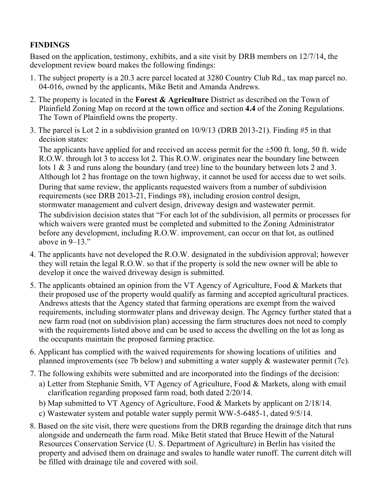### **FINDINGS**

Based on the application, testimony, exhibits, and a site visit by DRB members on 12/7/14, the development review board makes the following findings:

- 1. The subject property is a 20.3 acre parcel located at 3280 Country Club Rd., tax map parcel no. 04-016, owned by the applicants, Mike Betit and Amanda Andrews.
- 2. The property is located in the **Forest & Agriculture** District as described on the Town of Plainfield Zoning Map on record at the town office and section **4.4** of the Zoning Regulations. The Town of Plainfield owns the property.
- 3. The parcel is Lot 2 in a subdivision granted on 10/9/13 (DRB 2013-21). Finding #5 in that decision states:

The applicants have applied for and received an access permit for the  $\pm 500$  ft. long, 50 ft. wide R.O.W. through lot 3 to access lot 2. This R.O.W. originates near the boundary line between lots 1 & 3 and runs along the boundary (and tree) line to the boundary between lots 2 and 3. Although lot 2 has frontage on the town highway, it cannot be used for access due to wet soils. During that same review, the applicants requested waivers from a number of subdivision requirements (see DRB 2013-21, Findings #8), including erosion control design, stormwater management and culvert design, driveway design and wastewater permit. The subdivision decision states that "For each lot of the subdivision, all permits or processes for which waivers were granted must be completed and submitted to the Zoning Administrator before any development, including R.O.W. improvement, can occur on that lot, as outlined above in  $9-13$ ."

- 4. The applicants have not developed the R.O.W. designated in the subdivision approval; however they will retain the legal R.O.W. so that if the property is sold the new owner will be able to develop it once the waived driveway design is submitted.
- 5. The applicants obtained an opinion from the VT Agency of Agriculture, Food & Markets that their proposed use of the property would qualify as farming and accepted agricultural practices. Andrews attests that the Agency stated that farming operations are exempt from the waived requirements, including stormwater plans and driveway design. The Agency further stated that a new farm road (not on subdivision plan) accessing the farm structures does not need to comply with the requirements listed above and can be used to access the dwelling on the lot as long as the occupants maintain the proposed farming practice.
- 6. Applicant has complied with the waived requirements for showing locations of utilities and planned improvements (see 7b below) and submitting a water supply & wastewater permit (7c).
- 7. The following exhibits were submitted and are incorporated into the findings of the decision:
	- a) Letter from Stephanie Smith, VT Agency of Agriculture, Food & Markets, along with email clarification regarding proposed farm road, both dated 2/20/14.
	- b) Map submitted to VT Agency of Agriculture, Food & Markets by applicant on 2/18/14.
	- c) Wastewater system and potable water supply permit WW-5-6485-1, dated 9/5/14.
- 8. Based on the site visit, there were questions from the DRB regarding the drainage ditch that runs alongside and underneath the farm road. Mike Betit stated that Bruce Hewitt of the Natural Resources Conservation Service (U. S. Department of Agriculture) in Berlin has visited the property and advised them on drainage and swales to handle water runoff. The current ditch will be filled with drainage tile and covered with soil.